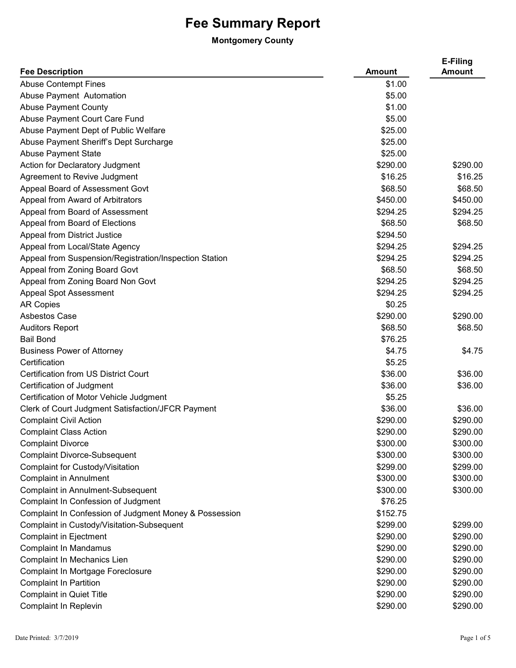## **Fee Summary Report**

## **Montgomery County**

| <b>Fee Description</b>                                 | <b>Amount</b> | E-Filing<br><b>Amount</b> |
|--------------------------------------------------------|---------------|---------------------------|
| <b>Abuse Contempt Fines</b>                            | \$1.00        |                           |
| Abuse Payment Automation                               | \$5.00        |                           |
| <b>Abuse Payment County</b>                            | \$1.00        |                           |
| Abuse Payment Court Care Fund                          | \$5.00        |                           |
| Abuse Payment Dept of Public Welfare                   | \$25.00       |                           |
| Abuse Payment Sheriff's Dept Surcharge                 | \$25.00       |                           |
| <b>Abuse Payment State</b>                             | \$25.00       |                           |
| Action for Declaratory Judgment                        | \$290.00      | \$290.00                  |
| Agreement to Revive Judgment                           | \$16.25       | \$16.25                   |
| Appeal Board of Assessment Govt                        | \$68.50       | \$68.50                   |
| Appeal from Award of Arbitrators                       | \$450.00      | \$450.00                  |
| Appeal from Board of Assessment                        | \$294.25      | \$294.25                  |
| Appeal from Board of Elections                         | \$68.50       | \$68.50                   |
| Appeal from District Justice                           | \$294.50      |                           |
| Appeal from Local/State Agency                         | \$294.25      | \$294.25                  |
| Appeal from Suspension/Registration/Inspection Station | \$294.25      | \$294.25                  |
| Appeal from Zoning Board Govt                          | \$68.50       | \$68.50                   |
| Appeal from Zoning Board Non Govt                      | \$294.25      | \$294.25                  |
| <b>Appeal Spot Assessment</b>                          | \$294.25      | \$294.25                  |
| <b>AR Copies</b>                                       | \$0.25        |                           |
| <b>Asbestos Case</b>                                   | \$290.00      | \$290.00                  |
| <b>Auditors Report</b>                                 | \$68.50       | \$68.50                   |
| <b>Bail Bond</b>                                       | \$76.25       |                           |
| <b>Business Power of Attorney</b>                      | \$4.75        | \$4.75                    |
| Certification                                          | \$5.25        |                           |
| <b>Certification from US District Court</b>            | \$36.00       | \$36.00                   |
| Certification of Judgment                              | \$36.00       | \$36.00                   |
| Certification of Motor Vehicle Judgment                | \$5.25        |                           |
| Clerk of Court Judgment Satisfaction/JFCR Payment      | \$36.00       | \$36.00                   |
| <b>Complaint Civil Action</b>                          | \$290.00      | \$290.00                  |
| <b>Complaint Class Action</b>                          | \$290.00      | \$290.00                  |
| <b>Complaint Divorce</b>                               | \$300.00      | \$300.00                  |
| <b>Complaint Divorce-Subsequent</b>                    | \$300.00      | \$300.00                  |
| Complaint for Custody/Visitation                       | \$299.00      | \$299.00                  |
| <b>Complaint in Annulment</b>                          | \$300.00      | \$300.00                  |
| <b>Complaint in Annulment-Subsequent</b>               | \$300.00      | \$300.00                  |
| Complaint In Confession of Judgment                    | \$76.25       |                           |
| Complaint In Confession of Judgment Money & Possession | \$152.75      |                           |
| Complaint in Custody/Visitation-Subsequent             | \$299.00      | \$299.00                  |
| <b>Complaint in Ejectment</b>                          | \$290.00      | \$290.00                  |
| <b>Complaint In Mandamus</b>                           | \$290.00      | \$290.00                  |
| Complaint In Mechanics Lien                            | \$290.00      | \$290.00                  |
| Complaint In Mortgage Foreclosure                      | \$290.00      | \$290.00                  |
| <b>Complaint In Partition</b>                          | \$290.00      | \$290.00                  |
| <b>Complaint in Quiet Title</b>                        | \$290.00      | \$290.00                  |
| Complaint In Replevin                                  | \$290.00      | \$290.00                  |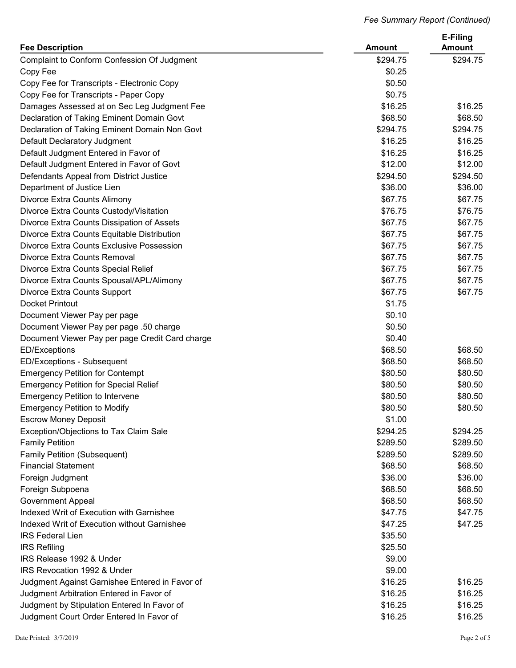|                                                 |               | E-Filing      |
|-------------------------------------------------|---------------|---------------|
| <b>Fee Description</b>                          | <b>Amount</b> | <b>Amount</b> |
| Complaint to Conform Confession Of Judgment     | \$294.75      | \$294.75      |
| Copy Fee                                        | \$0.25        |               |
| Copy Fee for Transcripts - Electronic Copy      | \$0.50        |               |
| Copy Fee for Transcripts - Paper Copy           | \$0.75        |               |
| Damages Assessed at on Sec Leg Judgment Fee     | \$16.25       | \$16.25       |
| Declaration of Taking Eminent Domain Govt       | \$68.50       | \$68.50       |
| Declaration of Taking Eminent Domain Non Govt   | \$294.75      | \$294.75      |
| Default Declaratory Judgment                    | \$16.25       | \$16.25       |
| Default Judgment Entered in Favor of            | \$16.25       | \$16.25       |
| Default Judgment Entered in Favor of Govt       | \$12.00       | \$12.00       |
| Defendants Appeal from District Justice         | \$294.50      | \$294.50      |
| Department of Justice Lien                      | \$36.00       | \$36.00       |
| Divorce Extra Counts Alimony                    | \$67.75       | \$67.75       |
| Divorce Extra Counts Custody/Visitation         | \$76.75       | \$76.75       |
| Divorce Extra Counts Dissipation of Assets      | \$67.75       | \$67.75       |
| Divorce Extra Counts Equitable Distribution     | \$67.75       | \$67.75       |
| Divorce Extra Counts Exclusive Possession       | \$67.75       | \$67.75       |
| Divorce Extra Counts Removal                    | \$67.75       | \$67.75       |
| Divorce Extra Counts Special Relief             | \$67.75       | \$67.75       |
| Divorce Extra Counts Spousal/APL/Alimony        | \$67.75       | \$67.75       |
| Divorce Extra Counts Support                    | \$67.75       | \$67.75       |
| <b>Docket Printout</b>                          | \$1.75        |               |
| Document Viewer Pay per page                    | \$0.10        |               |
| Document Viewer Pay per page .50 charge         | \$0.50        |               |
| Document Viewer Pay per page Credit Card charge | \$0.40        |               |
| <b>ED/Exceptions</b>                            | \$68.50       | \$68.50       |
| ED/Exceptions - Subsequent                      | \$68.50       | \$68.50       |
| <b>Emergency Petition for Contempt</b>          | \$80.50       | \$80.50       |
| <b>Emergency Petition for Special Relief</b>    | \$80.50       | \$80.50       |
| <b>Emergency Petition to Intervene</b>          | \$80.50       | \$80.50       |
| <b>Emergency Petition to Modify</b>             | \$80.50       | \$80.50       |
| <b>Escrow Money Deposit</b>                     | \$1.00        |               |
| Exception/Objections to Tax Claim Sale          | \$294.25      | \$294.25      |
| <b>Family Petition</b>                          | \$289.50      | \$289.50      |
| <b>Family Petition (Subsequent)</b>             | \$289.50      | \$289.50      |
| <b>Financial Statement</b>                      | \$68.50       | \$68.50       |
|                                                 | \$36.00       | \$36.00       |
| Foreign Judgment                                |               |               |
| Foreign Subpoena                                | \$68.50       | \$68.50       |
| <b>Government Appeal</b>                        | \$68.50       | \$68.50       |
| Indexed Writ of Execution with Garnishee        | \$47.75       | \$47.75       |
| Indexed Writ of Execution without Garnishee     | \$47.25       | \$47.25       |
| <b>IRS Federal Lien</b>                         | \$35.50       |               |
| <b>IRS Refiling</b>                             | \$25.50       |               |
| IRS Release 1992 & Under                        | \$9.00        |               |
| <b>IRS Revocation 1992 &amp; Under</b>          | \$9.00        |               |
| Judgment Against Garnishee Entered in Favor of  | \$16.25       | \$16.25       |
| Judgment Arbitration Entered in Favor of        | \$16.25       | \$16.25       |
| Judgment by Stipulation Entered In Favor of     | \$16.25       | \$16.25       |
| Judgment Court Order Entered In Favor of        | \$16.25       | \$16.25       |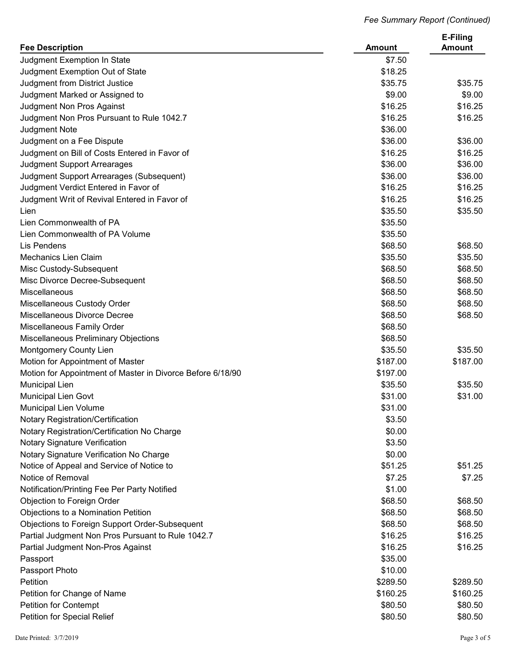| <b>Fee Description</b>                                     | <b>Amount</b>      | E-Filing<br><b>Amount</b> |
|------------------------------------------------------------|--------------------|---------------------------|
| Judgment Exemption In State                                | \$7.50             |                           |
| Judgment Exemption Out of State                            | \$18.25            |                           |
| Judgment from District Justice                             | \$35.75            | \$35.75                   |
| Judgment Marked or Assigned to                             | \$9.00             | \$9.00                    |
| Judgment Non Pros Against                                  | \$16.25            | \$16.25                   |
| Judgment Non Pros Pursuant to Rule 1042.7                  | \$16.25            | \$16.25                   |
| <b>Judgment Note</b>                                       | \$36.00            |                           |
| Judgment on a Fee Dispute                                  | \$36.00            | \$36.00                   |
| Judgment on Bill of Costs Entered in Favor of              | \$16.25            | \$16.25                   |
| Judgment Support Arrearages                                | \$36.00            | \$36.00                   |
| Judgment Support Arrearages (Subsequent)                   | \$36.00            | \$36.00                   |
| Judgment Verdict Entered in Favor of                       | \$16.25            | \$16.25                   |
| Judgment Writ of Revival Entered in Favor of               | \$16.25            | \$16.25                   |
|                                                            | \$35.50            | \$35.50                   |
| Lien                                                       |                    |                           |
| Lien Commonwealth of PA<br>Lien Commonwealth of PA Volume  | \$35.50            |                           |
| Lis Pendens                                                | \$35.50<br>\$68.50 | \$68.50                   |
|                                                            |                    |                           |
| <b>Mechanics Lien Claim</b>                                | \$35.50            | \$35.50                   |
| Misc Custody-Subsequent                                    | \$68.50            | \$68.50                   |
| Misc Divorce Decree-Subsequent                             | \$68.50            | \$68.50                   |
| Miscellaneous                                              | \$68.50            | \$68.50                   |
| Miscellaneous Custody Order                                | \$68.50            | \$68.50                   |
| Miscellaneous Divorce Decree                               | \$68.50            | \$68.50                   |
| Miscellaneous Family Order                                 | \$68.50            |                           |
| Miscellaneous Preliminary Objections                       | \$68.50            |                           |
| Montgomery County Lien                                     | \$35.50            | \$35.50                   |
| Motion for Appointment of Master                           | \$187.00           | \$187.00                  |
| Motion for Appointment of Master in Divorce Before 6/18/90 | \$197.00           |                           |
| Municipal Lien                                             | \$35.50            | \$35.50                   |
| <b>Municipal Lien Govt</b>                                 | \$31.00            | \$31.00                   |
| Municipal Lien Volume                                      | \$31.00            |                           |
| <b>Notary Registration/Certification</b>                   | \$3.50             |                           |
| Notary Registration/Certification No Charge                | \$0.00             |                           |
| Notary Signature Verification                              | \$3.50             |                           |
| Notary Signature Verification No Charge                    | \$0.00             |                           |
| Notice of Appeal and Service of Notice to                  | \$51.25            | \$51.25                   |
| Notice of Removal                                          | \$7.25             | \$7.25                    |
| Notification/Printing Fee Per Party Notified               | \$1.00             |                           |
| Objection to Foreign Order                                 | \$68.50            | \$68.50                   |
| Objections to a Nomination Petition                        | \$68.50            | \$68.50                   |
| Objections to Foreign Support Order-Subsequent             | \$68.50            | \$68.50                   |
| Partial Judgment Non Pros Pursuant to Rule 1042.7          | \$16.25            | \$16.25                   |
| Partial Judgment Non-Pros Against                          | \$16.25            | \$16.25                   |
| Passport                                                   | \$35.00            |                           |
| Passport Photo                                             | \$10.00            |                           |
| Petition                                                   | \$289.50           | \$289.50                  |
| Petition for Change of Name                                | \$160.25           | \$160.25                  |
| <b>Petition for Contempt</b>                               | \$80.50            | \$80.50                   |
| Petition for Special Relief                                | \$80.50            | \$80.50                   |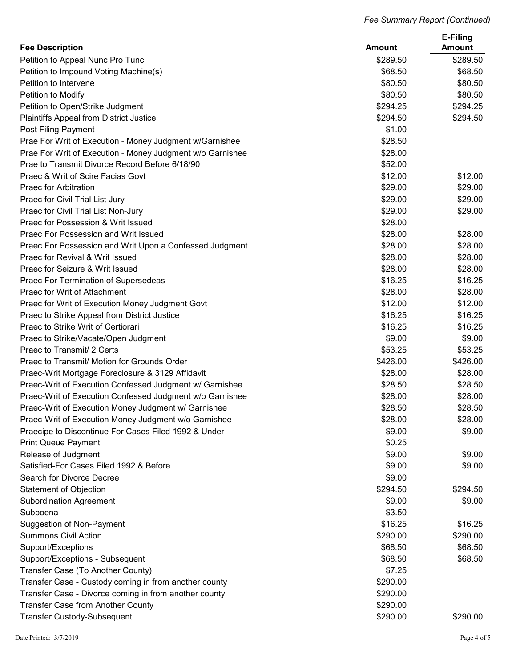| <b>Fee Description</b>                                                                          | <b>Amount</b>       | E-Filing<br><b>Amount</b> |
|-------------------------------------------------------------------------------------------------|---------------------|---------------------------|
| Petition to Appeal Nunc Pro Tunc                                                                | \$289.50            | \$289.50                  |
| Petition to Impound Voting Machine(s)                                                           | \$68.50             | \$68.50                   |
| Petition to Intervene                                                                           | \$80.50             | \$80.50                   |
| Petition to Modify                                                                              | \$80.50             | \$80.50                   |
| Petition to Open/Strike Judgment                                                                | \$294.25            | \$294.25                  |
| Plaintiffs Appeal from District Justice                                                         | \$294.50            | \$294.50                  |
| Post Filing Payment                                                                             | \$1.00              |                           |
| Prae For Writ of Execution - Money Judgment w/Garnishee                                         | \$28.50             |                           |
| Prae For Writ of Execution - Money Judgment w/o Garnishee                                       | \$28.00             |                           |
| Prae to Transmit Divorce Record Before 6/18/90                                                  | \$52.00             |                           |
| Praec & Writ of Scire Facias Govt                                                               | \$12.00             | \$12.00                   |
| <b>Praec for Arbitration</b>                                                                    | \$29.00             | \$29.00                   |
| Praec for Civil Trial List Jury                                                                 | \$29.00             | \$29.00                   |
| Praec for Civil Trial List Non-Jury                                                             | \$29.00             | \$29.00                   |
| Praec for Possession & Writ Issued                                                              | \$28.00             |                           |
| Praec For Possession and Writ Issued                                                            | \$28.00             | \$28.00                   |
| Praec For Possession and Writ Upon a Confessed Judgment                                         | \$28.00             | \$28.00                   |
| Praec for Revival & Writ Issued                                                                 | \$28.00             | \$28.00                   |
| Praec for Seizure & Writ Issued                                                                 | \$28.00             | \$28.00                   |
| Praec For Termination of Supersedeas                                                            | \$16.25             | \$16.25                   |
| Praec for Writ of Attachment                                                                    | \$28.00             | \$28.00                   |
|                                                                                                 | \$12.00             | \$12.00                   |
| Praec for Writ of Execution Money Judgment Govt<br>Praec to Strike Appeal from District Justice | \$16.25             | \$16.25                   |
| Praec to Strike Writ of Certiorari                                                              | \$16.25             | \$16.25                   |
|                                                                                                 | \$9.00              | \$9.00                    |
| Praec to Strike/Vacate/Open Judgment<br>Praec to Transmit/ 2 Certs                              |                     |                           |
|                                                                                                 | \$53.25<br>\$426.00 | \$53.25                   |
| Praec to Transmit/ Motion for Grounds Order                                                     | \$28.00             | \$426.00                  |
| Praec-Writ Mortgage Foreclosure & 3129 Affidavit                                                | \$28.50             | \$28.00<br>\$28.50        |
| Praec-Writ of Execution Confessed Judgment w/ Garnishee                                         |                     |                           |
| Praec-Writ of Execution Confessed Judgment w/o Garnishee                                        | \$28.00             | \$28.00                   |
| Praec-Writ of Execution Money Judgment w/ Garnishee                                             | \$28.50             | \$28.50                   |
| Praec-Writ of Execution Money Judgment w/o Garnishee                                            | \$28.00             | \$28.00                   |
| Praecipe to Discontinue For Cases Filed 1992 & Under                                            | \$9.00              | \$9.00                    |
| <b>Print Queue Payment</b>                                                                      | \$0.25              |                           |
| Release of Judgment                                                                             | \$9.00              | \$9.00                    |
| Satisfied-For Cases Filed 1992 & Before                                                         | \$9.00              | \$9.00                    |
| Search for Divorce Decree                                                                       | \$9.00              |                           |
| <b>Statement of Objection</b>                                                                   | \$294.50            | \$294.50                  |
| <b>Subordination Agreement</b>                                                                  | \$9.00              | \$9.00                    |
| Subpoena                                                                                        | \$3.50              |                           |
| <b>Suggestion of Non-Payment</b>                                                                | \$16.25             | \$16.25                   |
| <b>Summons Civil Action</b>                                                                     | \$290.00            | \$290.00                  |
| Support/Exceptions                                                                              | \$68.50             | \$68.50                   |
| Support/Exceptions - Subsequent                                                                 | \$68.50             | \$68.50                   |
| Transfer Case (To Another County)                                                               | \$7.25              |                           |
| Transfer Case - Custody coming in from another county                                           | \$290.00            |                           |
| Transfer Case - Divorce coming in from another county                                           | \$290.00            |                           |
| Transfer Case from Another County                                                               | \$290.00            |                           |
| <b>Transfer Custody-Subsequent</b>                                                              | \$290.00            | \$290.00                  |